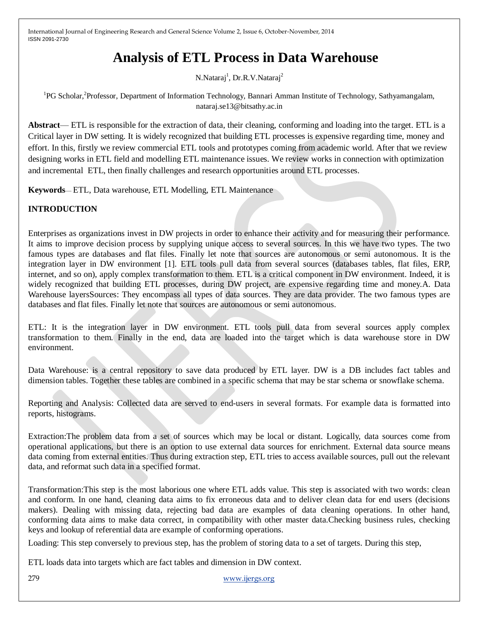# **Analysis of ETL Process in Data Warehouse**

N.Nataraj<sup>1</sup>, Dr.R.V.Nataraj<sup>2</sup>

<sup>1</sup>PG Scholar,<sup>2</sup>Professor, Department of Information Technology, Bannari Amman Institute of Technology, Sathyamangalam, nataraj.se13@bitsathy.ac.in

**Abstract**— ETL is responsible for the extraction of data, their cleaning, conforming and loading into the target. ETL is a Critical layer in DW setting. It is widely recognized that building ETL processes is expensive regarding time, money and effort. In this, firstly we review commercial ETL tools and prototypes coming from academic world. After that we review designing works in ETL field and modelling ETL maintenance issues. We review works in connection with optimization and incremental ETL, then finally challenges and research opportunities around ETL processes.

**Keywords**— ETL, Data warehouse, ETL Modelling, ETL Maintenance

### **INTRODUCTION**

Enterprises as organizations invest in DW projects in order to enhance their activity and for measuring their performance. It aims to improve decision process by supplying unique access to several sources. In this we have two types. The two famous types are databases and flat files. Finally let note that sources are autonomous or semi autonomous. It is the integration layer in DW environment [1]. ETL tools pull data from several sources (databases tables, flat files, ERP, internet, and so on), apply complex transformation to them. ETL is a critical component in DW environment. Indeed, it is widely recognized that building ETL processes, during DW project, are expensive regarding time and money.A. Data Warehouse layersSources: They encompass all types of data sources. They are data provider. The two famous types are databases and flat files. Finally let note that sources are autonomous or semi autonomous.

ETL: It is the integration layer in DW environment. ETL tools pull data from several sources apply complex transformation to them. Finally in the end, data are loaded into the target which is data warehouse store in DW environment.

Data Warehouse: is a central repository to save data produced by ETL layer. DW is a DB includes fact tables and dimension tables. Together these tables are combined in a specific schema that may be star schema or snowflake schema.

Reporting and Analysis: Collected data are served to end-users in several formats. For example data is formatted into reports, histograms.

Extraction:The problem data from a set of sources which may be local or distant. Logically, data sources come from operational applications, but there is an option to use external data sources for enrichment. External data source means data coming from external entities. Thus during extraction step, ETL tries to access available sources, pull out the relevant data, and reformat such data in a specified format.

Transformation:This step is the most laborious one where ETL adds value. This step is associated with two words: clean and conform. In one hand, cleaning data aims to fix erroneous data and to deliver clean data for end users (decisions makers). Dealing with missing data, rejecting bad data are examples of data cleaning operations. In other hand, conforming data aims to make data correct, in compatibility with other master data.Checking business rules, checking keys and lookup of referential data are example of conforming operations.

Loading: This step conversely to previous step, has the problem of storing data to a set of targets. During this step,

ETL loads data into targets which are fact tables and dimension in DW context.

279 [www.ijergs.org](http://www.ijergs.org/)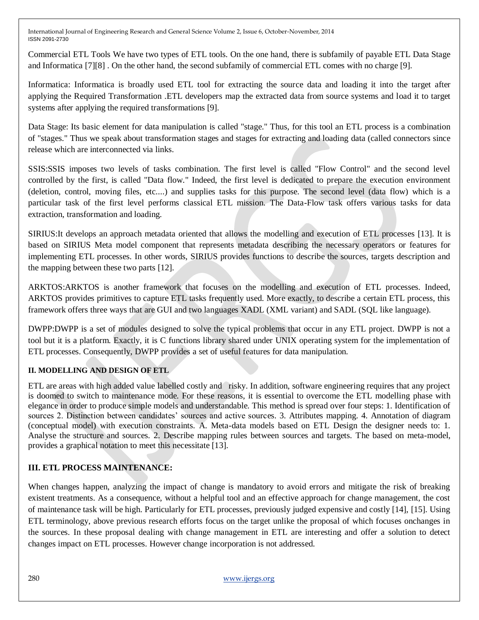Commercial ETL Tools We have two types of ETL tools. On the one hand, there is subfamily of payable ETL Data Stage and Informatica [7][8] . On the other hand, the second subfamily of commercial ETL comes with no charge [9].

Informatica: Informatica is broadly used ETL tool for extracting the source data and loading it into the target after applying the Required Transformation .ETL developers map the extracted data from source systems and load it to target systems after applying the required transformations [9].

Data Stage: Its basic element for data manipulation is called "stage." Thus, for this tool an ETL process is a combination of "stages." Thus we speak about transformation stages and stages for extracting and loading data (called connectors since release which are interconnected via links.

SSIS:SSIS imposes two levels of tasks combination. The first level is called "Flow Control" and the second level controlled by the first, is called "Data flow." Indeed, the first level is dedicated to prepare the execution environment (deletion, control, moving files, etc....) and supplies tasks for this purpose. The second level (data flow) which is a particular task of the first level performs classical ETL mission. The Data-Flow task offers various tasks for data extraction, transformation and loading.

SIRIUS:It develops an approach metadata oriented that allows the modelling and execution of ETL processes [13]. It is based on SIRIUS Meta model component that represents metadata describing the necessary operators or features for implementing ETL processes. In other words, SIRIUS provides functions to describe the sources, targets description and the mapping between these two parts [12].

ARKTOS:ARKTOS is another framework that focuses on the modelling and execution of ETL processes. Indeed, ARKTOS provides primitives to capture ETL tasks frequently used. More exactly, to describe a certain ETL process, this framework offers three ways that are GUI and two languages XADL (XML variant) and SADL (SQL like language).

DWPP:DWPP is a set of modules designed to solve the typical problems that occur in any ETL project. DWPP is not a tool but it is a platform. Exactly, it is C functions library shared under UNIX operating system for the implementation of ETL processes. Consequently, DWPP provides a set of useful features for data manipulation.

### **II. MODELLING AND DESIGN OF ETL**

ETL are areas with high added value labelled costly and risky. In addition, software engineering requires that any project is doomed to switch to maintenance mode. For these reasons, it is essential to overcome the ETL modelling phase with elegance in order to produce simple models and understandable. This method is spread over four steps: 1. Identification of sources 2. Distinction between candidates' sources and active sources. 3. Attributes mapping. 4. Annotation of diagram (conceptual model) with execution constraints. A. Meta-data models based on ETL Design the designer needs to: 1. Analyse the structure and sources. 2. Describe mapping rules between sources and targets. The based on meta-model, provides a graphical notation to meet this necessitate [13].

### **III. ETL PROCESS MAINTENANCE:**

When changes happen, analyzing the impact of change is mandatory to avoid errors and mitigate the risk of breaking existent treatments. As a consequence, without a helpful tool and an effective approach for change management, the cost of maintenance task will be high. Particularly for ETL processes, previously judged expensive and costly [14], [15]. Using ETL terminology, above previous research efforts focus on the target unlike the proposal of which focuses onchanges in the sources. In these proposal dealing with change management in ETL are interesting and offer a solution to detect changes impact on ETL processes. However change incorporation is not addressed.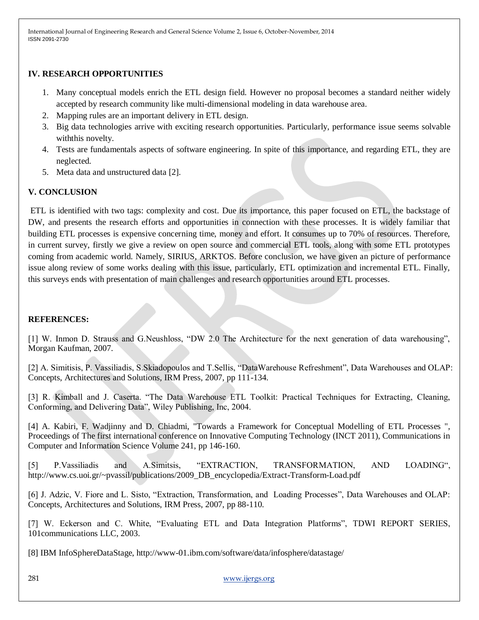### **IV. RESEARCH OPPORTUNITIES**

- 1. Many conceptual models enrich the ETL design field. However no proposal becomes a standard neither widely accepted by research community like multi-dimensional modeling in data warehouse area.
- 2. Mapping rules are an important delivery in ETL design.
- 3. Big data technologies arrive with exciting research opportunities. Particularly, performance issue seems solvable withthis novelty.
- 4. Tests are fundamentals aspects of software engineering. In spite of this importance, and regarding ETL, they are neglected.
- 5. Meta data and unstructured data [2].

## **V. CONCLUSION**

ETL is identified with two tags: complexity and cost. Due its importance, this paper focused on ETL, the backstage of DW, and presents the research efforts and opportunities in connection with these processes. It is widely familiar that building ETL processes is expensive concerning time, money and effort. It consumes up to 70% of resources. Therefore, in current survey, firstly we give a review on open source and commercial ETL tools, along with some ETL prototypes coming from academic world. Namely, SIRIUS, ARKTOS. Before conclusion, we have given an picture of performance issue along review of some works dealing with this issue, particularly, ETL optimization and incremental ETL. Finally, this surveys ends with presentation of main challenges and research opportunities around ETL processes.

#### **REFERENCES:**

[1] W. Inmon D. Strauss and G.Neushloss, "DW 2.0 The Architecture for the next generation of data warehousing", Morgan Kaufman, 2007.

[2] A. Simitisis, P. Vassiliadis, S.Skiadopoulos and T.Sellis, "DataWarehouse Refreshment", Data Warehouses and OLAP: Concepts, Architectures and Solutions, IRM Press, 2007, pp 111-134.

[3] R. Kimball and J. Caserta. "The Data Warehouse ETL Toolkit: Practical Techniques for Extracting, Cleaning, Conforming, and Delivering Data", Wiley Publishing, Inc, 2004.

[4] A. Kabiri, F. Wadjinny and D. Chiadmi, "Towards a Framework for Conceptual Modelling of ETL Processes ", Proceedings of The first international conference on Innovative Computing Technology (INCT 2011), Communications in Computer and Information Science Volume 241, pp 146-160.

[5] P.Vassiliadis and A.Simitsis, "EXTRACTION, TRANSFORMATION, AND LOADING", http://www.cs.uoi.gr/~pvassil/publications/2009\_DB\_encyclopedia/Extract-Transform-Load.pdf

[6] J. Adzic, V. Fiore and L. Sisto, "Extraction, Transformation, and Loading Processes", Data Warehouses and OLAP: Concepts, Architectures and Solutions, IRM Press, 2007, pp 88-110.

[7] W. Eckerson and C. White, "Evaluating ETL and Data Integration Platforms", TDWI REPORT SERIES, 101communications LLC, 2003.

[8] IBM InfoSphereDataStage, http://www-01.ibm.com/software/data/infosphere/datastage/

281 [www.ijergs.org](http://www.ijergs.org/)